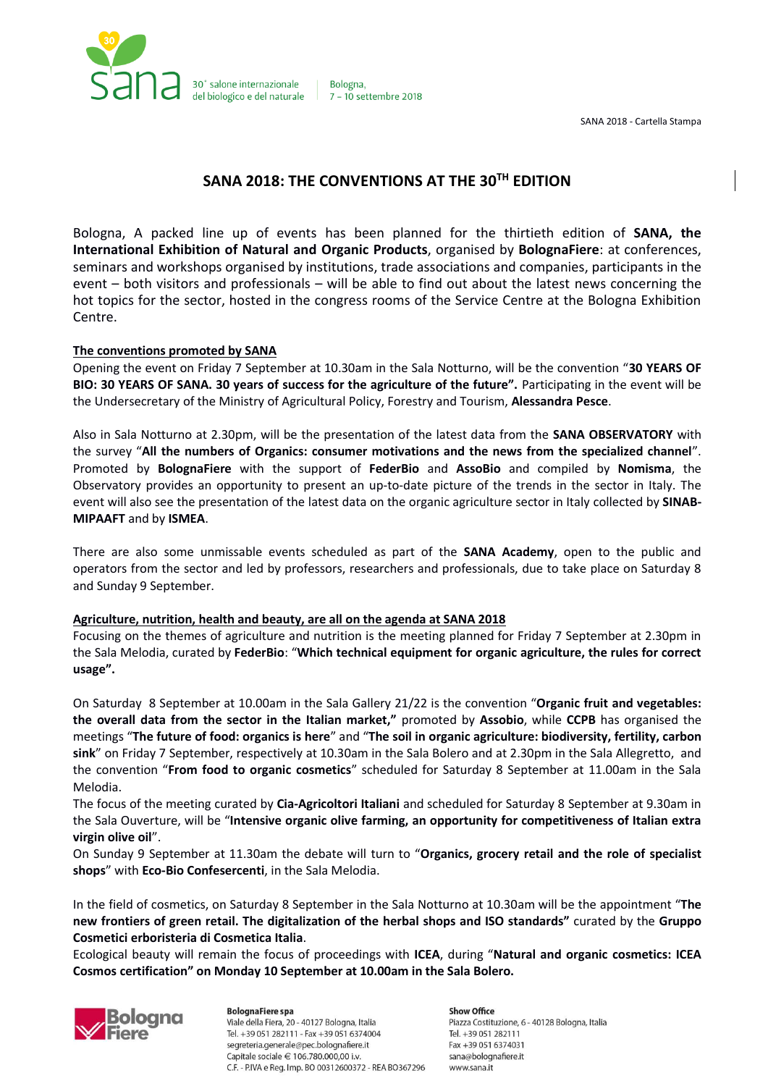

Bologna. 7 - 10 settembre 2018

SANA 2018 - Cartella Stampa

# **SANA 2018: THE CONVENTIONS AT THE 30TH EDITION**

Bologna, A packed line up of events has been planned for the thirtieth edition of **SANA, the International Exhibition of Natural and Organic Products**, organised by **BolognaFiere**: at conferences, seminars and workshops organised by institutions, trade associations and companies, participants in the event – both visitors and professionals – will be able to find out about the latest news concerning the hot topics for the sector, hosted in the congress rooms of the Service Centre at the Bologna Exhibition Centre.

### **The conventions promoted by SANA**

Opening the event on Friday 7 September at 10.30am in the Sala Notturno, will be the convention "**30 YEARS OF BIO: 30 YEARS OF SANA. 30 years of success for the agriculture of the future".** Participating in the event will be the Undersecretary of the Ministry of Agricultural Policy, Forestry and Tourism, **Alessandra Pesce**.

Also in Sala Notturno at 2.30pm, will be the presentation of the latest data from the **SANA OBSERVATORY** with the survey "**All the numbers of Organics: consumer motivations and the news from the specialized channel**". Promoted by **BolognaFiere** with the support of **FederBio** and **AssoBio** and compiled by **Nomisma**, the Observatory provides an opportunity to present an up-to-date picture of the trends in the sector in Italy. The event will also see the presentation of the latest data on the organic agriculture sector in Italy collected by **SINAB-MIPAAFT** and by **ISMEA**.

There are also some unmissable events scheduled as part of the **SANA Academy**, open to the public and operators from the sector and led by professors, researchers and professionals, due to take place on Saturday 8 and Sunday 9 September.

### **Agriculture, nutrition, health and beauty, are all on the agenda at SANA 2018**

Focusing on the themes of agriculture and nutrition is the meeting planned for Friday 7 September at 2.30pm in the Sala Melodia, curated by **FederBio**: "**Which technical equipment for organic agriculture, the rules for correct usage".**

On Saturday 8 September at 10.00am in the Sala Gallery 21/22 is the convention "**Organic fruit and vegetables: the overall data from the sector in the Italian market,"** promoted by **Assobio**, while **CCPB** has organised the meetings "**The future of food: organics is here**" and "**The soil in organic agriculture: biodiversity, fertility, carbon sink**" on Friday 7 September, respectively at 10.30am in the Sala Bolero and at 2.30pm in the Sala Allegretto, and the convention "**From food to organic cosmetics**" scheduled for Saturday 8 September at 11.00am in the Sala Melodia.

The focus of the meeting curated by **Cia-Agricoltori Italiani** and scheduled for Saturday 8 September at 9.30am in the Sala Ouverture, will be "**Intensive organic olive farming, an opportunity for competitiveness of Italian extra virgin olive oil**".

On Sunday 9 September at 11.30am the debate will turn to "**Organics, grocery retail and the role of specialist shops**" with **Eco-Bio Confesercenti**, in the Sala Melodia.

In the field of cosmetics, on Saturday 8 September in the Sala Notturno at 10.30am will be the appointment "**The new frontiers of green retail. The digitalization of the herbal shops and ISO standards"** curated by the **Gruppo Cosmetici erboristeria di Cosmetica Italia**.

Ecological beauty will remain the focus of proceedings with **ICEA**, during "**Natural and organic cosmetics: ICEA Cosmos certification" on Monday 10 September at 10.00am in the Sala Bolero.**



**BolognaFiere spa** Viale della Fiera, 20 - 40127 Bologna, Italia Tel. +39 051 282111 - Fax +39 051 6374004 segreteria.generale@pec.bolognafiere.it Capitale sociale € 106.780.000,00 i.v. C.F. - P.IVA e Reg. Imp. BO 00312600372 - REA BO367296

**Show Office** Piazza Costituzione, 6 - 40128 Bologna, Italia Tel. +39 051 282111 Fax +39 051 6374031 sana@bolognafiere.it www.sana.it